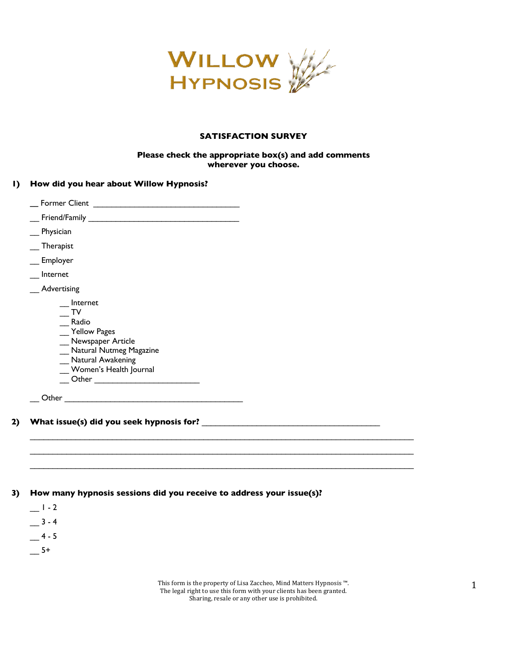

### **SATISFACTION SURVEY**

#### **Please check the appropriate box(s) and add comments wherever you choose.**

|  |  |  |  |  |  |  | I) How did you hear about Willow Hypnosis? |
|--|--|--|--|--|--|--|--------------------------------------------|
|--|--|--|--|--|--|--|--------------------------------------------|

| <b>Former Client</b>                                                                                                                                                                                                      |  |  |  |  |
|---------------------------------------------------------------------------------------------------------------------------------------------------------------------------------------------------------------------------|--|--|--|--|
| Friend/Family                                                                                                                                                                                                             |  |  |  |  |
| Physician                                                                                                                                                                                                                 |  |  |  |  |
| <b>Therapist</b>                                                                                                                                                                                                          |  |  |  |  |
| Employer                                                                                                                                                                                                                  |  |  |  |  |
| Internet                                                                                                                                                                                                                  |  |  |  |  |
| Advertising                                                                                                                                                                                                               |  |  |  |  |
| Internet<br>TV<br>Radio<br>Yellow Pages<br>_Newspaper Article<br>Natural Nutmeg Magazine<br>Natural Awakening<br>Women's Health Journal<br>Other<br><u> 1989 - Johann Harry Barn, mars ar breist fan de Fryske kommer</u> |  |  |  |  |
| Other                                                                                                                                                                                                                     |  |  |  |  |

# **2) What issue(s) did you seek hypnosis for?** \_\_\_\_\_\_\_\_\_\_\_\_\_\_\_\_\_\_\_\_\_\_\_\_\_\_\_\_\_\_\_\_\_\_\_\_\_\_\_

#### **3) How many hypnosis sessions did you receive to address your issue(s)?**

 $-1 - 2$  $-3 - 4$  $-$  4 - 5  $-5+$ 

> This form is the property of Lisa Zaccheo, Mind Matters Hypnosis ™. The legal right to use this form with your clients has been granted. Sharing, resale or any other use is prohibited.